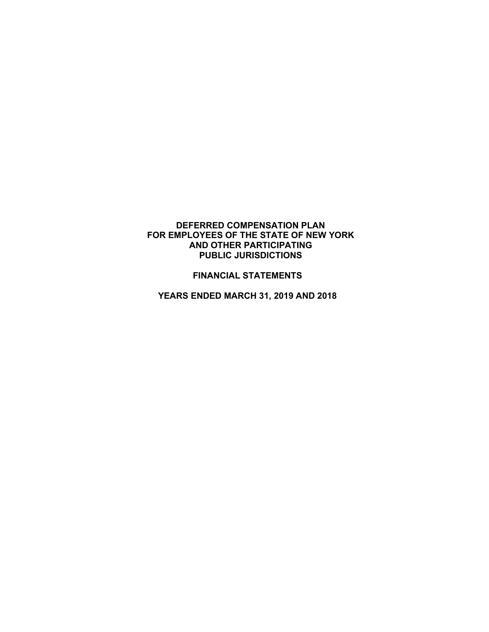### **DEFERRED COMPENSATION PLAN FOR EMPLOYEES OF THE STATE OF NEW YORK AND OTHER PARTICIPATING PUBLIC JURISDICTIONS**

## **FINANCIAL STATEMENTS**

**YEARS ENDED MARCH 31, 2019 AND 2018**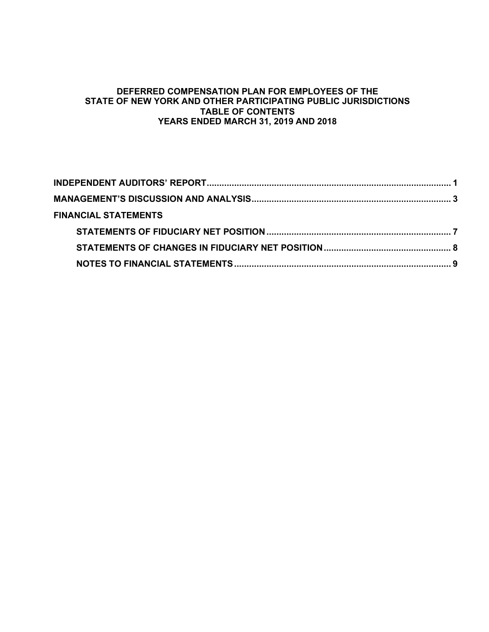## **DEFERRED COMPENSATION PLAN FOR EMPLOYEES OF THE STATE OF NEW YORK AND OTHER PARTICIPATING PUBLIC JURISDICTIONS TABLE OF CONTENTS YEARS ENDED MARCH 31, 2019 AND 2018**

| <b>FINANCIAL STATEMENTS</b> |  |
|-----------------------------|--|
|                             |  |
|                             |  |
|                             |  |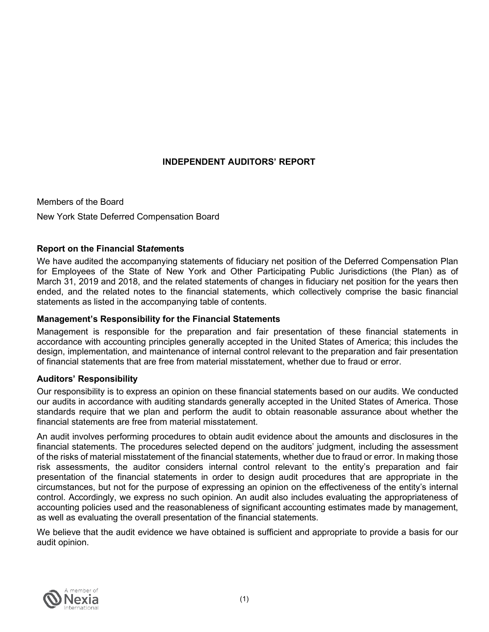# **INDEPENDENT AUDITORS' REPORT**

<span id="page-2-0"></span>Members of the Board New York State Deferred Compensation Board

## **Report on the Financial St***ate***ments**

We have audited the accompanying statements of fiduciary net position of the Deferred Compensation Plan for Employees of the State of New York and Other Participating Public Jurisdictions (the Plan) as of March 31, 2019 and 2018, and the related statements of changes in fiduciary net position for the years then ended, and the related notes to the financial statements, which collectively comprise the basic financial statements as listed in the accompanying table of contents.

## **Management's Responsibility for the Financial Statements**

Management is responsible for the preparation and fair presentation of these financial statements in accordance with accounting principles generally accepted in the United States of America; this includes the design, implementation, and maintenance of internal control relevant to the preparation and fair presentation of financial statements that are free from material misstatement, whether due to fraud or error.

## **Auditors' Responsibility**

Our responsibility is to express an opinion on these financial statements based on our audits. We conducted our audits in accordance with auditing standards generally accepted in the United States of America. Those standards require that we plan and perform the audit to obtain reasonable assurance about whether the financial statements are free from material misstatement.

An audit involves performing procedures to obtain audit evidence about the amounts and disclosures in the financial statements. The procedures selected depend on the auditors' judgment, including the assessment of the risks of material misstatement of the financial statements, whether due to fraud or error. In making those risk assessments, the auditor considers internal control relevant to the entity's preparation and fair presentation of the financial statements in order to design audit procedures that are appropriate in the circumstances, but not for the purpose of expressing an opinion on the effectiveness of the entity's internal control. Accordingly, we express no such opinion. An audit also includes evaluating the appropriateness of accounting policies used and the reasonableness of significant accounting estimates made by management, as well as evaluating the overall presentation of the financial statements.

We believe that the audit evidence we have obtained is sufficient and appropriate to provide a basis for our audit opinion.

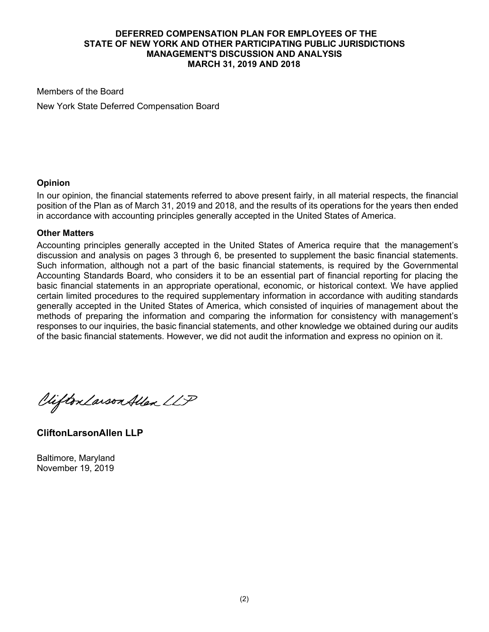Members of the Board

New York State Deferred Compensation Board

## **Opinion**

In our opinion, the financial statements referred to above present fairly, in all material respects, the financial position of the Plan as of March 31, 2019 and 2018, and the results of its operations for the years then ended in accordance with accounting principles generally accepted in the United States of America.

## **Other Matters**

Accounting principles generally accepted in the United States of America require that the management's discussion and analysis on pages 3 through 6, be presented to supplement the basic financial statements. Such information, although not a part of the basic financial statements, is required by the Governmental Accounting Standards Board, who considers it to be an essential part of financial reporting for placing the basic financial statements in an appropriate operational, economic, or historical context. We have applied certain limited procedures to the required supplementary information in accordance with auditing standards generally accepted in the United States of America, which consisted of inquiries of management about the methods of preparing the information and comparing the information for consistency with management's responses to our inquiries, the basic financial statements, and other knowledge we obtained during our audits of the basic financial statements. However, we did not audit the information and express no opinion on it.

Viifton Larson Allen LLP

**CliftonLarsonAllen LLP**

Baltimore, Maryland November 19, 2019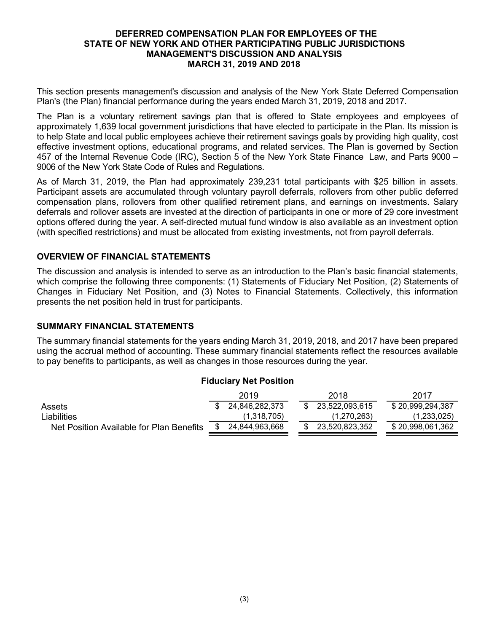<span id="page-4-0"></span>This section presents management's discussion and analysis of the New York State Deferred Compensation Plan's (the Plan) financial performance during the years ended March 31, 2019, 2018 and 2017.

The Plan is a voluntary retirement savings plan that is offered to State employees and employees of approximately 1,639 local government jurisdictions that have elected to participate in the Plan. Its mission is to help State and local public employees achieve their retirement savings goals by providing high quality, cost effective investment options, educational programs, and related services. The Plan is governed by Section 457 of the Internal Revenue Code (IRC), Section 5 of the New York State Finance Law, and Parts 9000 – 9006 of the New York State Code of Rules and Regulations.

As of March 31, 2019, the Plan had approximately 239,231 total participants with \$25 billion in assets. Participant assets are accumulated through voluntary payroll deferrals, rollovers from other public deferred compensation plans, rollovers from other qualified retirement plans, and earnings on investments. Salary deferrals and rollover assets are invested at the direction of participants in one or more of 29 core investment options offered during the year. A self-directed mutual fund window is also available as an investment option (with specified restrictions) and must be allocated from existing investments, not from payroll deferrals.

## **OVERVIEW OF FINANCIAL STATEMENTS**

The discussion and analysis is intended to serve as an introduction to the Plan's basic financial statements, which comprise the following three components: (1) Statements of Fiduciary Net Position, (2) Statements of Changes in Fiduciary Net Position, and (3) Notes to Financial Statements. Collectively, this information presents the net position held in trust for participants.

## **SUMMARY FINANCIAL STATEMENTS**

The summary financial statements for the years ending March 31, 2019, 2018, and 2017 have been prepared using the accrual method of accounting. These summary financial statements reflect the resources available to pay benefits to participants, as well as changes in those resources during the year.

# **Fiduciary Net Position** 2019 2018 2017 Assets **8 24,846,282,373** \$ 23,522,093,615 \$ 20,999,294,387 Liabilities (1,318,705) (1,270,263) (1,233,025) Net Position Available for Plan Benefits  $\frac{1}{10}$  24,844,963,668  $\frac{1}{10}$  3,520,823,352  $\frac{1}{10}$  \$ 20,998,061,362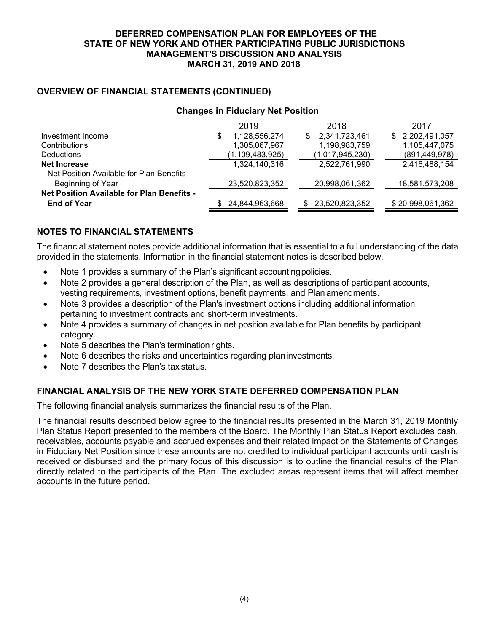## **OVERVIEW OF FINANCIAL STATEMENTS (CONTINUED)**

## **Changes in Fiduciary Net Position**

|                                            | 2019                | 2018                | 2017             |
|--------------------------------------------|---------------------|---------------------|------------------|
| Investment Income                          | 1,128,556,274<br>\$ | 2,341,723,461<br>S. | \$ 2,202,491,057 |
| Contributions                              | 1,305,067,967       | 1,198,983,759       | 1,105,447,075    |
| <b>Deductions</b>                          | (1, 109, 483, 925)  | (1,017,945,230)     | (891, 449, 978)  |
| Net Increase                               | 1,324,140,316       | 2,522,761,990       | 2,416,488,154    |
| Net Position Available for Plan Benefits - |                     |                     |                  |
| Beginning of Year                          | 23,520,823,352      | 20,998,061,362      | 18,581,573,208   |
| Net Position Available for Plan Benefits - |                     |                     |                  |
| <b>End of Year</b>                         | 24,844,963,668      | 23,520,823,352      | \$20,998,061,362 |

# **NOTES TO FINANCIAL STATEMENTS**

The financial statement notes provide additional information that is essential to a full understanding of the data provided in the statements. Information in the financial statement notes is described below.

- Note 1 provides a summary of the Plan's significant accountingpolicies.
- Note 2 provides a general description of the Plan, as well as descriptions of participant accounts, vesting requirements, investment options, benefit payments, and Plan amendments.
- Note 3 provides a description of the Plan's investment options including additional information pertaining to investment contracts and short-term investments.
- Note 4 provides a summary of changes in net position available for Plan benefits by participant category.
- Note 5 describes the Plan's termination rights.
- Note 6 describes the risks and uncertainties regarding plan investments.
- Note 7 describes the Plan's tax status.

## **FINANCIAL ANALYSIS OF THE NEW YORK STATE DEFERRED COMPENSATION PLAN**

The following financial analysis summarizes the financial results of the Plan.

The financial results described below agree to the financial results presented in the March 31, 2019 Monthly Plan Status Report presented to the members of the Board. The Monthly Plan Status Report excludes cash, receivables, accounts payable and accrued expenses and their related impact on the Statements of Changes in Fiduciary Net Position since these amounts are not credited to individual participant accounts until cash is received or disbursed and the primary focus of this discussion is to outline the financial results of the Plan directly related to the participants of the Plan. The excluded areas represent items that will affect member accounts in the future period.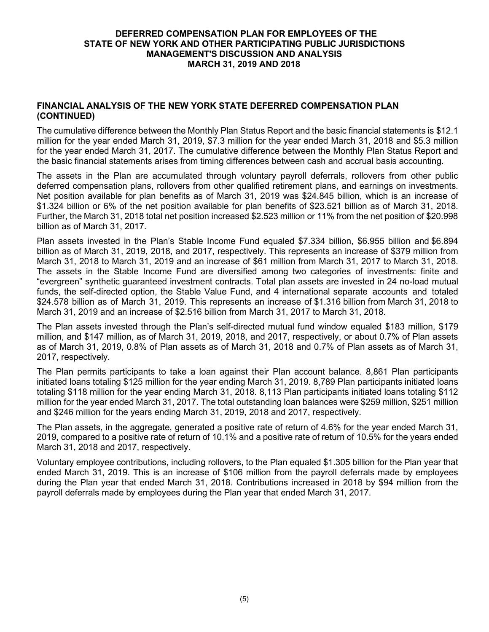## **FINANCIAL ANALYSIS OF THE NEW YORK STATE DEFERRED COMPENSATION PLAN (CONTINUED)**

The cumulative difference between the Monthly Plan Status Report and the basic financial statements is \$12.1 million for the year ended March 31, 2019, \$7.3 million for the year ended March 31, 2018 and \$5.3 million for the year ended March 31, 2017. The cumulative difference between the Monthly Plan Status Report and the basic financial statements arises from timing differences between cash and accrual basis accounting.

The assets in the Plan are accumulated through voluntary payroll deferrals, rollovers from other public deferred compensation plans, rollovers from other qualified retirement plans, and earnings on investments. Net position available for plan benefits as of March 31, 2019 was \$24.845 billion, which is an increase of \$1.324 billion or 6% of the net position available for plan benefits of \$23.521 billion as of March 31, 2018. Further, the March 31, 2018 total net position increased \$2.523 million or 11% from the net position of \$20.998 billion as of March 31, 2017.

Plan assets invested in the Plan's Stable Income Fund equaled \$7.334 billion, \$6.955 billion and \$6.894 billion as of March 31, 2019, 2018, and 2017, respectively. This represents an increase of \$379 million from March 31, 2018 to March 31, 2019 and an increase of \$61 million from March 31, 2017 to March 31, 2018. The assets in the Stable Income Fund are diversified among two categories of investments: finite and "evergreen" synthetic guaranteed investment contracts. Total plan assets are invested in 24 no-load mutual funds, the self-directed option, the Stable Value Fund, and 4 international separate accounts and totaled \$24.578 billion as of March 31, 2019. This represents an increase of \$1.316 billion from March 31, 2018 to March 31, 2019 and an increase of \$2.516 billion from March 31, 2017 to March 31, 2018.

The Plan assets invested through the Plan's self-directed mutual fund window equaled \$183 million, \$179 million, and \$147 million, as of March 31, 2019, 2018, and 2017, respectively, or about 0.7% of Plan assets as of March 31, 2019, 0.8% of Plan assets as of March 31, 2018 and 0.7% of Plan assets as of March 31, 2017, respectively.

The Plan permits participants to take a loan against their Plan account balance. 8,861 Plan participants initiated loans totaling \$125 million for the year ending March 31, 2019. 8,789 Plan participants initiated loans totaling \$118 million for the year ending March 31, 2018. 8,113 Plan participants initiated loans totaling \$112 million for the year ended March 31, 2017. The total outstanding loan balances were \$259 million, \$251 million and \$246 million for the years ending March 31, 2019, 2018 and 2017, respectively.

The Plan assets, in the aggregate, generated a positive rate of return of 4.6% for the year ended March 31, 2019, compared to a positive rate of return of 10.1% and a positive rate of return of 10.5% for the years ended March 31, 2018 and 2017, respectively.

Voluntary employee contributions, including rollovers, to the Plan equaled \$1.305 billion for the Plan year that ended March 31, 2019. This is an increase of \$106 million from the payroll deferrals made by employees during the Plan year that ended March 31, 2018. Contributions increased in 2018 by \$94 million from the payroll deferrals made by employees during the Plan year that ended March 31, 2017.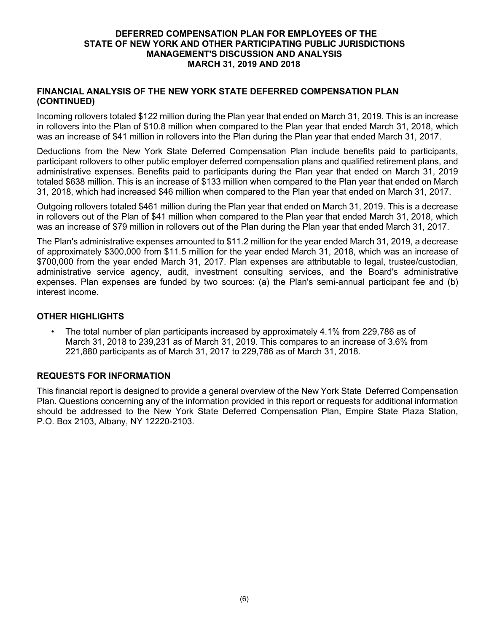### **FINANCIAL ANALYSIS OF THE NEW YORK STATE DEFERRED COMPENSATION PLAN (CONTINUED)**

Incoming rollovers totaled \$122 million during the Plan year that ended on March 31, 2019. This is an increase in rollovers into the Plan of \$10.8 million when compared to the Plan year that ended March 31, 2018, which was an increase of \$41 million in rollovers into the Plan during the Plan year that ended March 31, 2017.

Deductions from the New York State Deferred Compensation Plan include benefits paid to participants, participant rollovers to other public employer deferred compensation plans and qualified retirement plans, and administrative expenses. Benefits paid to participants during the Plan year that ended on March 31, 2019 totaled \$638 million. This is an increase of \$133 million when compared to the Plan year that ended on March 31, 2018, which had increased \$46 million when compared to the Plan year that ended on March 31, 2017.

Outgoing rollovers totaled \$461 million during the Plan year that ended on March 31, 2019. This is a decrease in rollovers out of the Plan of \$41 million when compared to the Plan year that ended March 31, 2018, which was an increase of \$79 million in rollovers out of the Plan during the Plan year that ended March 31, 2017.

The Plan's administrative expenses amounted to \$11.2 million for the year ended March 31, 2019, a decrease of approximately \$300,000 from \$11.5 million for the year ended March 31, 2018, which was an increase of \$700,000 from the year ended March 31, 2017. Plan expenses are attributable to legal, trustee/custodian, administrative service agency, audit, investment consulting services, and the Board's administrative expenses. Plan expenses are funded by two sources: (a) the Plan's semi-annual participant fee and (b) interest income.

## **OTHER HIGHLIGHTS**

• The total number of plan participants increased by approximately 4.1% from 229,786 as of March 31, 2018 to 239,231 as of March 31, 2019. This compares to an increase of 3.6% from 221,880 participants as of March 31, 2017 to 229,786 as of March 31, 2018.

## **REQUESTS FOR INFORMATION**

This financial report is designed to provide a general overview of the New York State Deferred Compensation Plan. Questions concerning any of the information provided in this report or requests for additional information should be addressed to the New York State Deferred Compensation Plan, Empire State Plaza Station, P.O. Box 2103, Albany, NY 12220-2103.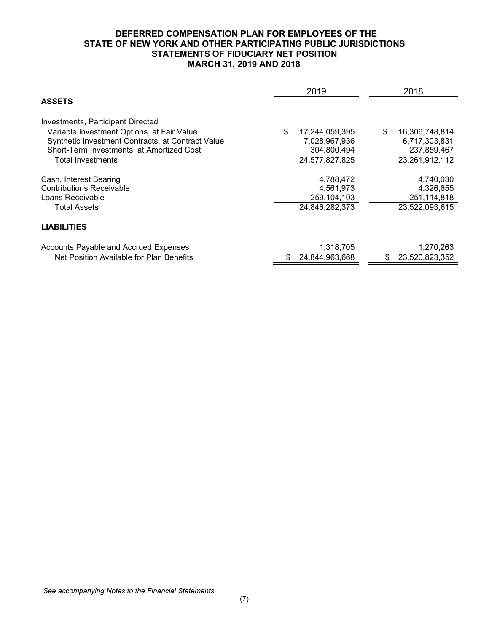### **DEFERRED COMPENSATION PLAN FOR EMPLOYEES OF THE STATE OF NEW YORK AND OTHER PARTICIPATING PUBLIC JURISDICTIONS STATEMENTS OF FIDUCIARY NET POSITION MARCH 31, 2019 AND 2018**

<span id="page-8-0"></span>

|                                                   | 2019                 | 2018                 |
|---------------------------------------------------|----------------------|----------------------|
| <b>ASSETS</b>                                     |                      |                      |
| Investments, Participant Directed                 |                      |                      |
| Variable Investment Options, at Fair Value        | \$<br>17,244,059,395 | \$<br>16,306,748,814 |
| Synthetic Investment Contracts, at Contract Value | 7,028,967,936        | 6,717,303,831        |
| Short-Term Investments, at Amortized Cost         | 304,800,494          | 237,859,467          |
| <b>Total Investments</b>                          | 24,577,827,825       | 23,261,912,112       |
| Cash, Interest Bearing                            | 4,788,472            | 4,740,030            |
| <b>Contributions Receivable</b>                   | 4,561,973            | 4,326,655            |
| Loans Receivable                                  | 259,104,103          | 251,114,818          |
| Total Assets                                      | 24,846,282,373       | 23,522,093,615       |
| <b>LIABILITIES</b>                                |                      |                      |
| Accounts Payable and Accrued Expenses             | 1,318,705            | 1,270,263            |
| Net Position Available for Plan Benefits          | \$<br>24,844,963,668 | 23,520,823,352<br>\$ |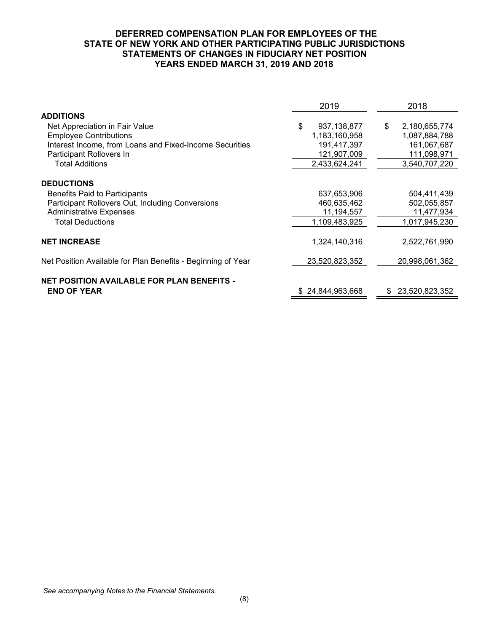### **DEFERRED COMPENSATION PLAN FOR EMPLOYEES OF THE STATE OF NEW YORK AND OTHER PARTICIPATING PUBLIC JURISDICTIONS STATEMENTS OF CHANGES IN FIDUCIARY NET POSITION YEARS ENDED MARCH 31, 2019 AND 2018**

<span id="page-9-0"></span>

|                                                              | 2019                | 2018                 |
|--------------------------------------------------------------|---------------------|----------------------|
| <b>ADDITIONS</b>                                             |                     |                      |
| Net Appreciation in Fair Value                               | \$<br>937, 138, 877 | \$<br>2,180,655,774  |
| <b>Employee Contributions</b>                                | 1,183,160,958       | 1,087,884,788        |
| Interest Income, from Loans and Fixed-Income Securities      | 191,417,397         | 161,067,687          |
| Participant Rollovers In                                     | 121,907,009         | 111,098,971          |
| <b>Total Additions</b>                                       | 2,433,624,241       | 3,540,707,220        |
| <b>DEDUCTIONS</b>                                            |                     |                      |
| Benefits Paid to Participants                                | 637,653,906         | 504,411,439          |
| Participant Rollovers Out, Including Conversions             | 460,635,462         | 502,055,857          |
| <b>Administrative Expenses</b>                               | 11,194,557          | 11,477,934           |
| <b>Total Deductions</b>                                      | 1,109,483,925       | 1,017,945,230        |
| <b>NET INCREASE</b>                                          | 1,324,140,316       | 2,522,761,990        |
| Net Position Available for Plan Benefits - Beginning of Year | 23,520,823,352      | 20,998,061,362       |
| <b>NET POSITION AVAILABLE FOR PLAN BENEFITS -</b>            |                     |                      |
| <b>END OF YEAR</b>                                           | \$24,844,963,668    | 23,520,823,352<br>S. |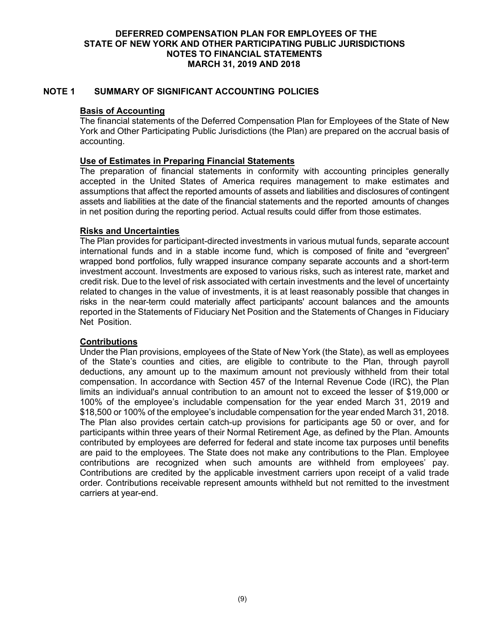## <span id="page-10-0"></span>**NOTE 1 SUMMARY OF SIGNIFICANT ACCOUNTING POLICIES**

### **Basis of Accounting**

The financial statements of the Deferred Compensation Plan for Employees of the State of New York and Other Participating Public Jurisdictions (the Plan) are prepared on the accrual basis of accounting.

### **Use of Estimates in Preparing Financial Statements**

The preparation of financial statements in conformity with accounting principles generally accepted in the United States of America requires management to make estimates and assumptions that affect the reported amounts of assets and liabilities and disclosures of contingent assets and liabilities at the date of the financial statements and the reported amounts of changes in net position during the reporting period. Actual results could differ from those estimates.

#### **Risks and Uncertainties**

The Plan provides for participant-directed investments in various mutual funds, separate account international funds and in a stable income fund, which is composed of finite and "evergreen" wrapped bond portfolios, fully wrapped insurance company separate accounts and a short-term investment account. Investments are exposed to various risks, such as interest rate, market and credit risk. Due to the level of risk associated with certain investments and the level of uncertainty related to changes in the value of investments, it is at least reasonably possible that changes in risks in the near-term could materially affect participants' account balances and the amounts reported in the Statements of Fiduciary Net Position and the Statements of Changes in Fiduciary Net Position.

## **Contributions**

Under the Plan provisions, employees of the State of New York (the State), as well as employees of the State's counties and cities, are eligible to contribute to the Plan, through payroll deductions, any amount up to the maximum amount not previously withheld from their total compensation. In accordance with Section 457 of the Internal Revenue Code (IRC), the Plan limits an individual's annual contribution to an amount not to exceed the lesser of \$19,000 or 100% of the employee's includable compensation for the year ended March 31, 2019 and \$18,500 or 100% of the employee's includable compensation for the year ended March 31, 2018. The Plan also provides certain catch-up provisions for participants age 50 or over, and for participants within three years of their Normal Retirement Age, as defined by the Plan. Amounts contributed by employees are deferred for federal and state income tax purposes until benefits are paid to the employees. The State does not make any contributions to the Plan. Employee contributions are recognized when such amounts are withheld from employees' pay. Contributions are credited by the applicable investment carriers upon receipt of a valid trade order. Contributions receivable represent amounts withheld but not remitted to the investment carriers at year-end.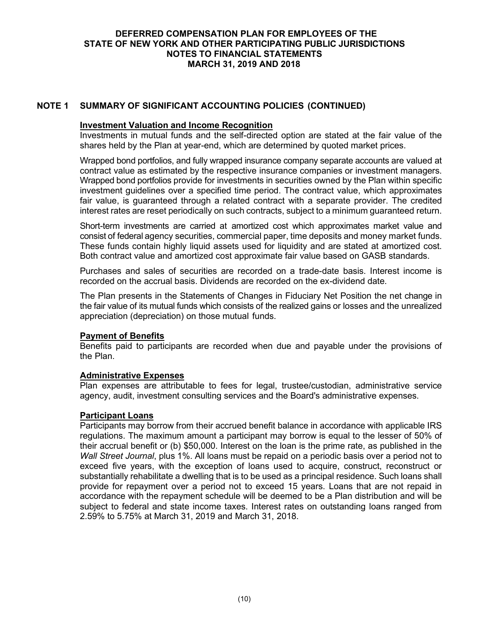## **NOTE 1 SUMMARY OF SIGNIFICANT ACCOUNTING POLICIES (CONTINUED)**

### **Investment Valuation and Income Recognition**

Investments in mutual funds and the self-directed option are stated at the fair value of the shares held by the Plan at year-end, which are determined by quoted market prices.

Wrapped bond portfolios, and fully wrapped insurance company separate accounts are valued at contract value as estimated by the respective insurance companies or investment managers. Wrapped bond portfolios provide for investments in securities owned by the Plan within specific investment guidelines over a specified time period. The contract value, which approximates fair value, is guaranteed through a related contract with a separate provider. The credited interest rates are reset periodically on such contracts, subject to a minimum guaranteed return.

Short-term investments are carried at amortized cost which approximates market value and consist of federal agency securities, commercial paper, time deposits and money market funds. These funds contain highly liquid assets used for liquidity and are stated at amortized cost. Both contract value and amortized cost approximate fair value based on GASB standards.

Purchases and sales of securities are recorded on a trade-date basis. Interest income is recorded on the accrual basis. Dividends are recorded on the ex-dividend date.

The Plan presents in the Statements of Changes in Fiduciary Net Position the net change in the fair value of its mutual funds which consists of the realized gains or losses and the unrealized appreciation (depreciation) on those mutual funds.

## **Payment of Benefits**

Benefits paid to participants are recorded when due and payable under the provisions of the Plan.

## **Administrative Expenses**

Plan expenses are attributable to fees for legal, trustee/custodian, administrative service agency, audit, investment consulting services and the Board's administrative expenses.

## **Participant Loans**

Participants may borrow from their accrued benefit balance in accordance with applicable IRS regulations. The maximum amount a participant may borrow is equal to the lesser of 50% of their accrual benefit or (b) \$50,000. Interest on the loan is the prime rate, as published in the *Wall Street Journal*, plus 1%. All loans must be repaid on a periodic basis over a period not to exceed five years, with the exception of loans used to acquire, construct, reconstruct or substantially rehabilitate a dwelling that is to be used as a principal residence. Such loans shall provide for repayment over a period not to exceed 15 years. Loans that are not repaid in accordance with the repayment schedule will be deemed to be a Plan distribution and will be subject to federal and state income taxes. Interest rates on outstanding loans ranged from 2.59% to 5.75% at March 31, 2019 and March 31, 2018.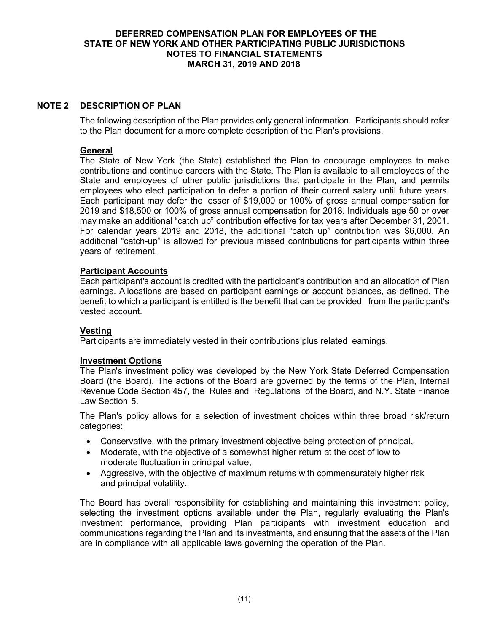## **NOTE 2 DESCRIPTION OF PLAN**

The following description of the Plan provides only general information. Participants should refer to the Plan document for a more complete description of the Plan's provisions.

## **General**

The State of New York (the State) established the Plan to encourage employees to make contributions and continue careers with the State. The Plan is available to all employees of the State and employees of other public jurisdictions that participate in the Plan, and permits employees who elect participation to defer a portion of their current salary until future years. Each participant may defer the lesser of \$19,000 or 100% of gross annual compensation for 2019 and \$18,500 or 100% of gross annual compensation for 2018. Individuals age 50 or over may make an additional "catch up" contribution effective for tax years after December 31, 2001. For calendar years 2019 and 2018, the additional "catch up" contribution was \$6,000. An additional "catch-up" is allowed for previous missed contributions for participants within three years of retirement.

## **Participant Accounts**

Each participant's account is credited with the participant's contribution and an allocation of Plan earnings. Allocations are based on participant earnings or account balances, as defined. The benefit to which a participant is entitled is the benefit that can be provided from the participant's vested account.

#### **Vesting**

Participants are immediately vested in their contributions plus related earnings.

#### **Investment Options**

The Plan's investment policy was developed by the New York State Deferred Compensation Board (the Board). The actions of the Board are governed by the terms of the Plan, Internal Revenue Code Section 457, the Rules and Regulations of the Board, and N.Y. State Finance Law Section 5.

The Plan's policy allows for a selection of investment choices within three broad risk/return categories:

- Conservative, with the primary investment objective being protection of principal,
- Moderate, with the objective of a somewhat higher return at the cost of low to moderate fluctuation in principal value,
- Aggressive, with the objective of maximum returns with commensurately higher risk and principal volatility.

The Board has overall responsibility for establishing and maintaining this investment policy, selecting the investment options available under the Plan, regularly evaluating the Plan's investment performance, providing Plan participants with investment education and communications regarding the Plan and its investments, and ensuring that the assets of the Plan are in compliance with all applicable laws governing the operation of the Plan.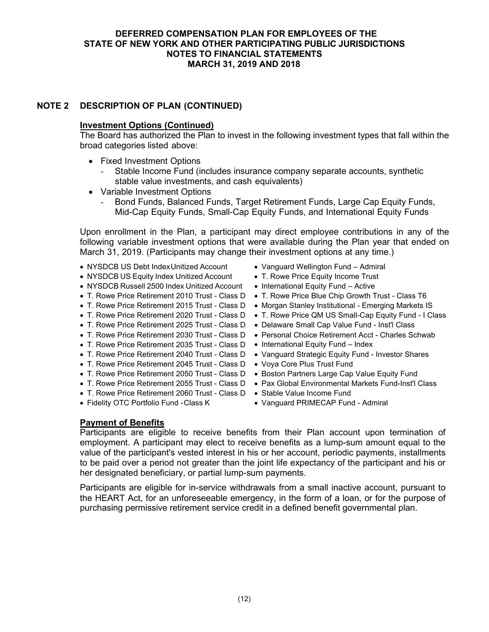# **NOTE 2 DESCRIPTION OF PLAN (CONTINUED)**

## **Investment Options (Continued)**

The Board has authorized the Plan to invest in the following investment types that fall within the broad categories listed above:

- Fixed Investment Options
	- Stable Income Fund (includes insurance company separate accounts, synthetic stable value investments, and cash equivalents)
- Variable Investment Options
	- Bond Funds, Balanced Funds, Target Retirement Funds, Large Cap Equity Funds, Mid-Cap Equity Funds, Small-Cap Equity Funds, and International Equity Funds

Upon enrollment in the Plan, a participant may direct employee contributions in any of the following variable investment options that were available during the Plan year that ended on March 31, 2019. (Participants may change their investment options at any time.)

- NYSDCB US Debt IndexUnitized Account
- NYSDCB US Equity Index Unitized Account
- NYSDCB Russell 2500 Index Unitized Account
- 
- 
- 
- T. Rowe Price Retirement 2025 Trust Class D Delaware Small Cap Value Fund Inst'l Class
- 
- T. Rowe Price Retirement 2035 Trust Class D International Equity Fund Index
- 
- T. Rowe Price Retirement 2045 Trust Class D Voya Core Plus Trust Fund
- 
- 
- T. Rowe Price Retirement 2060 Trust Class D Stable Value Income Fund
- Fidelity OTC Portfolio Fund -Class K
- Vanguard Wellington Fund Admiral
- T. Rowe Price Equity Income Trust
- International Equity Fund Active
- T. Rowe Price Retirement 2010 Trust Class D T. Rowe Price Blue Chip Growth Trust Class T6
- T. Rowe Price Retirement 2015 Trust Class D Morgan Stanley Institutional Emerging Markets IS
- T. Rowe Price Retirement 2020 Trust Class D T. Rowe Price QM US Small-Cap Equity Fund I Class
	-
- T. Rowe Price Retirement 2030 Trust Class D Personal Choice Retirement Acct Charles Schwab
	-
- T. Rowe Price Retirement 2040 Trust Class D Vanguard Strategic Equity Fund Investor Shares
	-
- T. Rowe Price Retirement 2050 Trust Class D Boston Partners Large Cap Value Equity Fund
- T. Rowe Price Retirement 2055 Trust Class D Pax Global Environmental Markets Fund-Inst'l Class
	-
	- Vanguard PRIMECAP Fund Admiral

#### **Payment of Benefits**

Participants are eligible to receive benefits from their Plan account upon termination of employment. A participant may elect to receive benefits as a lump-sum amount equal to the value of the participant's vested interest in his or her account, periodic payments, installments to be paid over a period not greater than the joint life expectancy of the participant and his or her designated beneficiary, or partial lump-sum payments.

Participants are eligible for in-service withdrawals from a small inactive account, pursuant to the HEART Act, for an unforeseeable emergency, in the form of a loan, or for the purpose of purchasing permissive retirement service credit in a defined benefit governmental plan.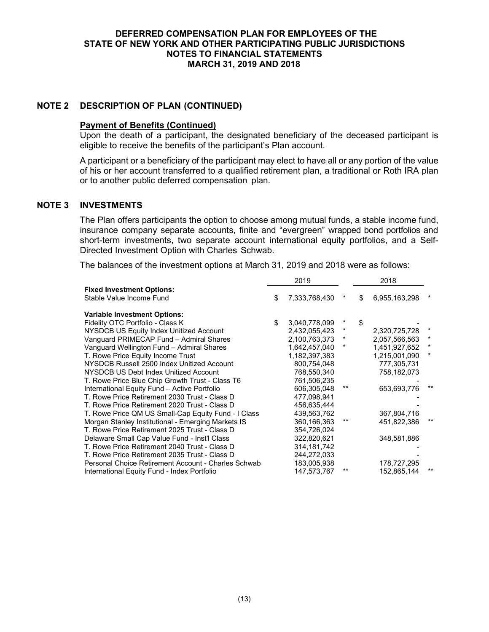## **NOTE 2 DESCRIPTION OF PLAN (CONTINUED)**

### **Payment of Benefits (Continued)**

Upon the death of a participant, the designated beneficiary of the deceased participant is eligible to receive the benefits of the participant's Plan account.

A participant or a beneficiary of the participant may elect to have all or any portion of the value of his or her account transferred to a qualified retirement plan, a traditional or Roth IRA plan or to another public deferred compensation plan.

#### **NOTE 3 INVESTMENTS**

The Plan offers participants the option to choose among mutual funds, a stable income fund, insurance company separate accounts, finite and "evergreen" wrapped bond portfolios and short-term investments, two separate account international equity portfolios, and a Self-Directed Investment Option with Charles Schwab.

The balances of the investment options at March 31, 2019 and 2018 were as follows:

|                                                     | 2019                |         | 2018                |          |
|-----------------------------------------------------|---------------------|---------|---------------------|----------|
| <b>Fixed Investment Options:</b>                    |                     |         |                     |          |
| Stable Value Income Fund                            | \$<br>7,333,768,430 | *       | \$<br>6,955,163,298 | $^\ast$  |
| <b>Variable Investment Options:</b>                 |                     |         |                     |          |
| Fidelity OTC Portfolio - Class K                    | \$<br>3,040,778,099 | *       | \$                  |          |
| NYSDCB US Equity Index Unitized Account             | 2,432,055,423       | $\star$ | 2,320,725,728       | $\star$  |
| Vanguard PRIMECAP Fund - Admiral Shares             | 2,100,763,373       | *       | 2,057,566,563       | $^\star$ |
| Vanguard Wellington Fund - Admiral Shares           | 1,642,457,040       | *       | 1,451,927,652       | $^\star$ |
| T. Rowe Price Equity Income Trust                   | 1,182,397,383       |         | 1,215,001,090       | $^\star$ |
| NYSDCB Russell 2500 Index Unitized Account          | 800,754,048         |         | 777,305,731         |          |
| NYSDCB US Debt Index Unitized Account               | 768,550,340         |         | 758,182,073         |          |
| T. Rowe Price Blue Chip Growth Trust - Class T6     | 761,506,235         |         |                     |          |
| International Equity Fund - Active Portfolio        | 606,305,048         | **      | 653,693,776         | $***$    |
| T. Rowe Price Retirement 2030 Trust - Class D       | 477,098,941         |         |                     |          |
| T. Rowe Price Retirement 2020 Trust - Class D       | 456,635,444         |         |                     |          |
| T. Rowe Price QM US Small-Cap Equity Fund - I Class | 439,563,762         |         | 367,804,716         |          |
| Morgan Stanley Institutional - Emerging Markets IS  | 360, 166, 363       | **      | 451,822,386         | **       |
| T. Rowe Price Retirement 2025 Trust - Class D       | 354,726,024         |         |                     |          |
| Delaware Small Cap Value Fund - Inst'l Class        | 322,820,621         |         | 348,581,886         |          |
| T. Rowe Price Retirement 2040 Trust - Class D       | 314, 181, 742       |         |                     |          |
| T. Rowe Price Retirement 2035 Trust - Class D       | 244,272,033         |         |                     |          |
| Personal Choice Retirement Account - Charles Schwab | 183,005,938         |         | 178,727,295         |          |
| International Equity Fund - Index Portfolio         | 147,573,767         | **      | 152,865,144         | $***$    |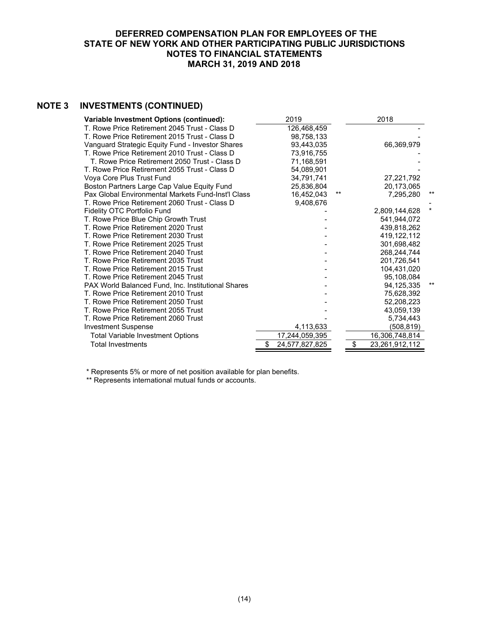# **NOTE 3 INVESTMENTS (CONTINUED)**

| Variable Investment Options (continued):           | 2019           |       | 2018           |    |
|----------------------------------------------------|----------------|-------|----------------|----|
| T. Rowe Price Retirement 2045 Trust - Class D      | 126,468,459    |       |                |    |
| T. Rowe Price Retirement 2015 Trust - Class D      | 98,758,133     |       |                |    |
| Vanguard Strategic Equity Fund - Investor Shares   | 93,443,035     |       | 66,369,979     |    |
| T. Rowe Price Retirement 2010 Trust - Class D      | 73,916,755     |       |                |    |
| T. Rowe Price Retirement 2050 Trust - Class D      | 71,168,591     |       |                |    |
| T. Rowe Price Retirement 2055 Trust - Class D      | 54.089.901     |       |                |    |
| Voya Core Plus Trust Fund                          | 34,791,741     |       | 27,221,792     |    |
| Boston Partners Large Cap Value Equity Fund        | 25,836,804     |       | 20,173,065     |    |
| Pax Global Environmental Markets Fund-Inst'l Class | 16,452,043     | $***$ | 7,295,280      | ** |
| T. Rowe Price Retirement 2060 Trust - Class D      | 9,408,676      |       |                |    |
| Fidelity OTC Portfolio Fund                        |                |       | 2,809,144,628  |    |
| T. Rowe Price Blue Chip Growth Trust               |                |       | 541.944.072    |    |
| T. Rowe Price Retirement 2020 Trust                |                |       | 439,818,262    |    |
| T. Rowe Price Retirement 2030 Trust                |                |       | 419, 122, 112  |    |
| T. Rowe Price Retirement 2025 Trust                |                |       | 301,698,482    |    |
| T. Rowe Price Retirement 2040 Trust                |                |       | 268,244,744    |    |
| T. Rowe Price Retirement 2035 Trust                |                |       | 201,726,541    |    |
| T. Rowe Price Retirement 2015 Trust                |                |       | 104,431,020    |    |
| T. Rowe Price Retirement 2045 Trust                |                |       | 95,108,084     |    |
| PAX World Balanced Fund, Inc. Institutional Shares |                |       | 94,125,335     |    |
| T. Rowe Price Retirement 2010 Trust                |                |       | 75,628,392     |    |
| T. Rowe Price Retirement 2050 Trust                |                |       | 52,208,223     |    |
| T. Rowe Price Retirement 2055 Trust                |                |       | 43,059,139     |    |
| T. Rowe Price Retirement 2060 Trust                |                |       | 5,734,443      |    |
| <b>Investment Suspense</b>                         | 4,113,633      |       | (508,819)      |    |
| <b>Total Variable Investment Options</b>           | 17,244,059,395 |       | 16,306,748,814 |    |
| <b>Total Investments</b>                           | 24,577,827,825 | \$    | 23,261,912,112 |    |

\* Represents 5% or more of net position available for plan benefits.

\*\* Represents international mutual funds or accounts.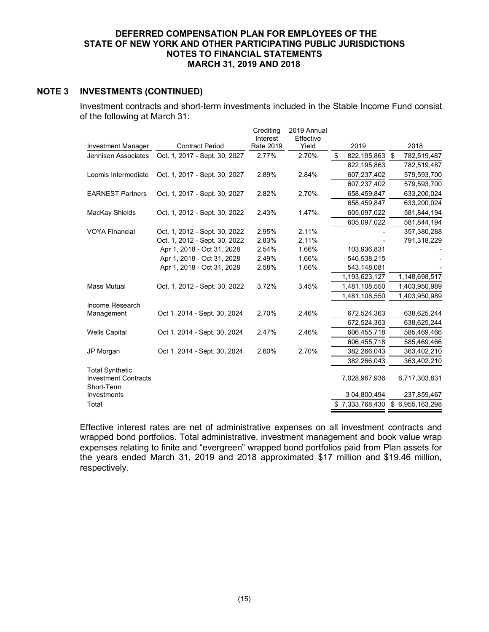### **NOTE 3 INVESTMENTS (CONTINUED)**

Investment contracts and short-term investments included in the Stable Income Fund consist of the following at March 31:

|                                                                     |                               | Crediting<br>Interest | 2019 Annual<br>Effective |                   |                   |
|---------------------------------------------------------------------|-------------------------------|-----------------------|--------------------------|-------------------|-------------------|
| Investment Manager                                                  | <b>Contract Period</b>        | <b>Rate 2019</b>      | Yield                    | 2019              | 2018              |
| Jennison Associates                                                 | Oct. 1, 2017 - Sept. 30, 2027 | 2.77%                 | 2.70%                    | \$<br>822,195,863 | \$<br>782,519,487 |
|                                                                     |                               |                       |                          | 822,195,863       | 782,519,487       |
| Loomis Intermediate                                                 | Oct. 1, 2017 - Sept. 30, 2027 | 2.89%                 | 2.84%                    | 607,237,402       | 579,593,700       |
|                                                                     |                               |                       |                          | 607,237,402       | 579,593,700       |
| <b>EARNEST Partners</b>                                             | Oct. 1, 2017 - Sept. 30, 2027 | 2.82%                 | 2.70%                    | 658,459,847       | 633,200,024       |
|                                                                     |                               |                       |                          | 658,459,847       | 633,200,024       |
| MacKay Shields                                                      | Oct. 1, 2012 - Sept. 30, 2022 | 2.43%                 | 1.47%                    | 605,097,022       | 581,844,194       |
|                                                                     |                               |                       |                          | 605,097,022       | 581,844,194       |
| <b>VOYA Financial</b>                                               | Oct. 1, 2012 - Sept. 30, 2022 | 2.95%                 | 2.11%                    |                   | 357,380,288       |
|                                                                     | Oct. 1, 2012 - Sept. 30, 2022 | 2.83%                 | 2.11%                    |                   | 791,318,229       |
|                                                                     | Apr 1, 2018 - Oct 31, 2028    | 2.54%                 | 1.66%                    | 103,936,831       |                   |
|                                                                     | Apr 1, 2018 - Oct 31, 2028    | 2.49%                 | 1.66%                    | 546,538,215       |                   |
|                                                                     | Apr 1, 2018 - Oct 31, 2028    | 2.58%                 | 1.66%                    | 543,148,081       |                   |
|                                                                     |                               |                       |                          | 1,193,623,127     | 1,148,698,517     |
| <b>Mass Mutual</b>                                                  | Oct. 1, 2012 - Sept. 30, 2022 | 3.72%                 | 3.45%                    | 1,481,108,550     | 1,403,950,989     |
|                                                                     |                               |                       |                          | 1,481,108,550     | 1,403,950,989     |
| Income Research                                                     |                               |                       |                          |                   |                   |
| Management                                                          | Oct 1. 2014 - Sept. 30, 2024  | 2.70%                 | 2.46%                    | 672,524,363       | 638,625,244       |
|                                                                     |                               |                       |                          | 672,524,363       | 638,625,244       |
| <b>Wells Capital</b>                                                | Oct 1. 2014 - Sept. 30, 2024  | 2.47%                 | 2.46%                    | 606,455,718       | 585,469,466       |
|                                                                     |                               |                       |                          | 606,455,718       | 585,469,466       |
| JP Morgan                                                           | Oct 1. 2014 - Sept. 30, 2024  | 2.60%                 | 2.70%                    | 382,266,043       | 363,402,210       |
|                                                                     |                               |                       |                          | 382,266,043       | 363,402,210       |
| <b>Total Synthetic</b><br><b>Investment Contracts</b><br>Short-Term |                               |                       |                          | 7,028,967,936     | 6,717,303,831     |
| Investments                                                         |                               |                       |                          | 3 04,800,494      | 237,859,467       |
| Total                                                               |                               |                       |                          | \$7,333,768,430   | \$6,955,163,298   |

Effective interest rates are net of administrative expenses on all investment contracts and wrapped bond portfolios. Total administrative, investment management and book value wrap expenses relating to finite and "evergreen" wrapped bond portfolios paid from Plan assets for the years ended March 31, 2019 and 2018 approximated \$17 million and \$19.46 million, respectively.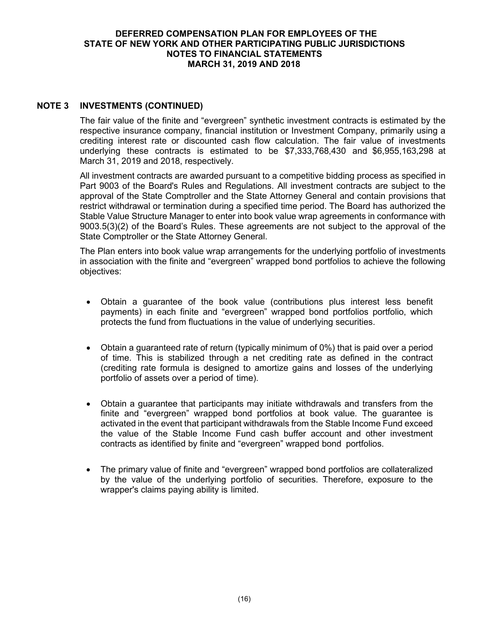## **NOTE 3 INVESTMENTS (CONTINUED)**

The fair value of the finite and "evergreen" synthetic investment contracts is estimated by the respective insurance company, financial institution or Investment Company, primarily using a crediting interest rate or discounted cash flow calculation. The fair value of investments underlying these contracts is estimated to be \$7,333,768,430 and \$6,955,163,298 at March 31, 2019 and 2018, respectively.

All investment contracts are awarded pursuant to a competitive bidding process as specified in Part 9003 of the Board's Rules and Regulations. All investment contracts are subject to the approval of the State Comptroller and the State Attorney General and contain provisions that restrict withdrawal or termination during a specified time period. The Board has authorized the Stable Value Structure Manager to enter into book value wrap agreements in conformance with 9003.5(3)(2) of the Board's Rules. These agreements are not subject to the approval of the State Comptroller or the State Attorney General.

The Plan enters into book value wrap arrangements for the underlying portfolio of investments in association with the finite and "evergreen" wrapped bond portfolios to achieve the following objectives:

- Obtain a guarantee of the book value (contributions plus interest less benefit payments) in each finite and "evergreen" wrapped bond portfolios portfolio, which protects the fund from fluctuations in the value of underlying securities.
- Obtain a guaranteed rate of return (typically minimum of 0%) that is paid over a period of time. This is stabilized through a net crediting rate as defined in the contract (crediting rate formula is designed to amortize gains and losses of the underlying portfolio of assets over a period of time).
- Obtain a guarantee that participants may initiate withdrawals and transfers from the finite and "evergreen" wrapped bond portfolios at book value. The guarantee is activated in the event that participant withdrawals from the Stable Income Fund exceed the value of the Stable Income Fund cash buffer account and other investment contracts as identified by finite and "evergreen" wrapped bond portfolios.
- The primary value of finite and "evergreen" wrapped bond portfolios are collateralized by the value of the underlying portfolio of securities. Therefore, exposure to the wrapper's claims paying ability is limited.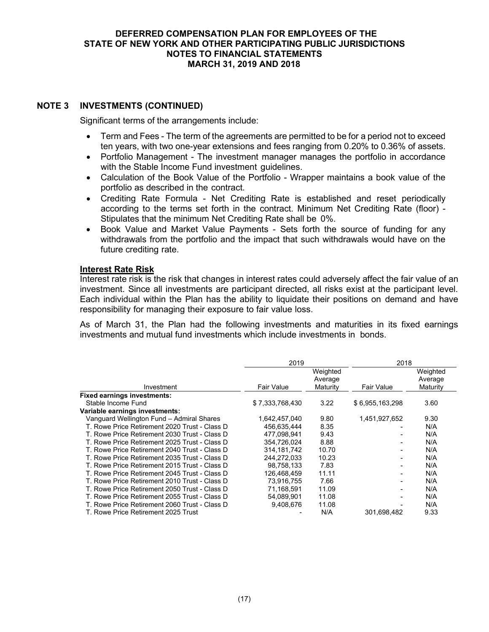## **NOTE 3 INVESTMENTS (CONTINUED)**

Significant terms of the arrangements include:

- Term and Fees The term of the agreements are permitted to be for a period not to exceed ten years, with two one-year extensions and fees ranging from 0.20% to 0.36% of assets.
- Portfolio Management The investment manager manages the portfolio in accordance with the Stable Income Fund investment guidelines.
- Calculation of the Book Value of the Portfolio Wrapper maintains a book value of the portfolio as described in the contract.
- Crediting Rate Formula Net Crediting Rate is established and reset periodically according to the terms set forth in the contract. Minimum Net Crediting Rate (floor) - Stipulates that the minimum Net Crediting Rate shall be 0%.
- Book Value and Market Value Payments Sets forth the source of funding for any withdrawals from the portfolio and the impact that such withdrawals would have on the future crediting rate.

### **Interest Rate Risk**

Interest rate risk is the risk that changes in interest rates could adversely affect the fair value of an investment. Since all investments are participant directed, all risks exist at the participant level. Each individual within the Plan has the ability to liquidate their positions on demand and have responsibility for managing their exposure to fair value loss.

As of March 31, the Plan had the following investments and maturities in its fixed earnings investments and mutual fund investments which include investments in bonds.

|                                               | 2019              |                                 | 2018            |                                 |
|-----------------------------------------------|-------------------|---------------------------------|-----------------|---------------------------------|
| Investment                                    | <b>Fair Value</b> | Weighted<br>Average<br>Maturity | Fair Value      | Weighted<br>Average<br>Maturity |
| <b>Fixed earnings investments:</b>            |                   |                                 |                 |                                 |
| Stable Income Fund                            | \$7,333,768,430   | 3.22                            | \$6,955,163,298 | 3.60                            |
| Variable earnings investments:                |                   |                                 |                 |                                 |
| Vanguard Wellington Fund - Admiral Shares     | 1,642,457,040     | 9.80                            | 1,451,927,652   | 9.30                            |
| T. Rowe Price Retirement 2020 Trust - Class D | 456,635,444       | 8.35                            |                 | N/A                             |
| T. Rowe Price Retirement 2030 Trust - Class D | 477.098.941       | 9.43                            |                 | N/A                             |
| T. Rowe Price Retirement 2025 Trust - Class D | 354,726,024       | 8.88                            |                 | N/A                             |
| T. Rowe Price Retirement 2040 Trust - Class D | 314.181.742       | 10.70                           |                 | N/A                             |
| T. Rowe Price Retirement 2035 Trust - Class D | 244,272,033       | 10.23                           |                 | N/A                             |
| T. Rowe Price Retirement 2015 Trust - Class D | 98,758,133        | 7.83                            |                 | N/A                             |
| T. Rowe Price Retirement 2045 Trust - Class D | 126.468.459       | 11.11                           |                 | N/A                             |
| T. Rowe Price Retirement 2010 Trust - Class D | 73,916,755        | 7.66                            |                 | N/A                             |
| T. Rowe Price Retirement 2050 Trust - Class D | 71.168.591        | 11.09                           |                 | N/A                             |
| T. Rowe Price Retirement 2055 Trust - Class D | 54,089,901        | 11.08                           |                 | N/A                             |
| T. Rowe Price Retirement 2060 Trust - Class D | 9.408.676         | 11.08                           |                 | N/A                             |
| T. Rowe Price Retirement 2025 Trust           |                   | N/A                             | 301,698,482     | 9.33                            |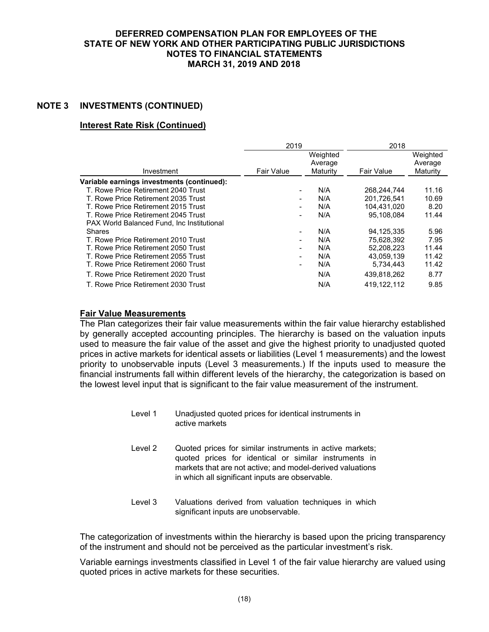## **NOTE 3 INVESTMENTS (CONTINUED)**

## **Interest Rate Risk (Continued)**

|                                                   | 2019              |          | 2018              |          |
|---------------------------------------------------|-------------------|----------|-------------------|----------|
|                                                   |                   | Weighted |                   | Weighted |
|                                                   |                   | Average  |                   | Average  |
| Investment                                        | <b>Fair Value</b> | Maturity | <b>Fair Value</b> | Maturity |
| Variable earnings investments (continued):        |                   |          |                   |          |
| T. Rowe Price Retirement 2040 Trust               |                   | N/A      | 268,244,744       | 11.16    |
| T. Rowe Price Retirement 2035 Trust               |                   | N/A      | 201.726.541       | 10.69    |
| T. Rowe Price Retirement 2015 Trust               |                   | N/A      | 104.431.020       | 8.20     |
| T. Rowe Price Retirement 2045 Trust               |                   | N/A      | 95.108.084        | 11.44    |
| <b>PAX World Balanced Fund. Inc Institutional</b> |                   |          |                   |          |
| <b>Shares</b>                                     |                   | N/A      | 94.125.335        | 5.96     |
| T. Rowe Price Retirement 2010 Trust               |                   | N/A      | 75,628,392        | 7.95     |
| T. Rowe Price Retirement 2050 Trust               |                   | N/A      | 52,208,223        | 11.44    |
| T. Rowe Price Retirement 2055 Trust               |                   | N/A      | 43.059.139        | 11.42    |
| T. Rowe Price Retirement 2060 Trust               |                   | N/A      | 5.734.443         | 11.42    |
| T. Rowe Price Retirement 2020 Trust               |                   | N/A      | 439,818,262       | 8.77     |
| T. Rowe Price Retirement 2030 Trust               |                   | N/A      | 419.122.112       | 9.85     |

### **Fair Value Measurements**

The Plan categorizes their fair value measurements within the fair value hierarchy established by generally accepted accounting principles. The hierarchy is based on the valuation inputs used to measure the fair value of the asset and give the highest priority to unadjusted quoted prices in active markets for identical assets or liabilities (Level 1 measurements) and the lowest priority to unobservable inputs (Level 3 measurements.) If the inputs used to measure the financial instruments fall within different levels of the hierarchy, the categorization is based on the lowest level input that is significant to the fair value measurement of the instrument.

- Level 1 Unadjusted quoted prices for identical instruments in active markets
- Level 2 Quoted prices for similar instruments in active markets; quoted prices for identical or similar instruments in markets that are not active; and model-derived valuations in which all significant inputs are observable.
- Level 3 Valuations derived from valuation techniques in which significant inputs are unobservable.

The categorization of investments within the hierarchy is based upon the pricing transparency of the instrument and should not be perceived as the particular investment's risk.

Variable earnings investments classified in Level 1 of the fair value hierarchy are valued using quoted prices in active markets for these securities.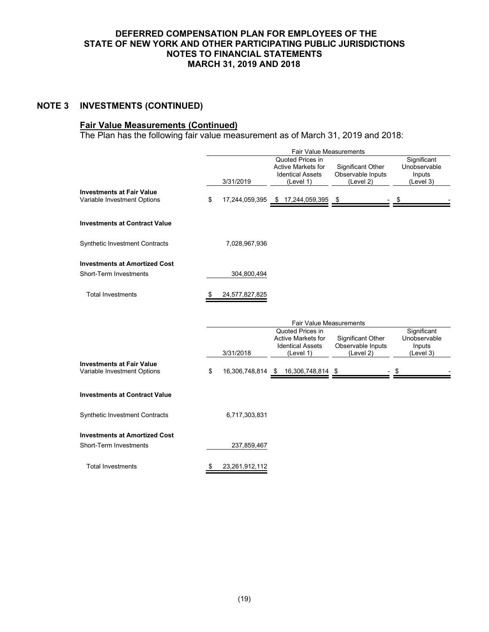# **NOTE 3 INVESTMENTS (CONTINUED)**

### **Fair Value Measurements (Continued)**

The Plan has the following fair value measurement as of March 31, 2019 and 2018:

|                                                                 |                      | Fair Value Measurements                                                        |                                                     |                                                    |
|-----------------------------------------------------------------|----------------------|--------------------------------------------------------------------------------|-----------------------------------------------------|----------------------------------------------------|
|                                                                 | 3/31/2019            | Quoted Prices in<br>Active Markets for<br><b>Identical Assets</b><br>(Level 1) | Significant Other<br>Observable Inputs<br>(Level 2) | Significant<br>Unobservable<br>Inputs<br>(Level 3) |
| <b>Investments at Fair Value</b><br>Variable Investment Options | \$                   | 17,244,059,395 \$ 17,244,059,395                                               | <u>\$</u>                                           |                                                    |
| <b>Investments at Contract Value</b>                            |                      |                                                                                |                                                     |                                                    |
| Synthetic Investment Contracts                                  | 7,028,967,936        |                                                                                |                                                     |                                                    |
| <b>Investments at Amortized Cost</b>                            |                      |                                                                                |                                                     |                                                    |
| Short-Term Investments                                          | 304,800,494          |                                                                                |                                                     |                                                    |
| <b>Total Investments</b>                                        | 24,577,827,825       |                                                                                |                                                     |                                                    |
|                                                                 |                      | <b>Fair Value Measurements</b>                                                 |                                                     |                                                    |
|                                                                 |                      | Quoted Prices in                                                               |                                                     | Significant                                        |
|                                                                 |                      | <b>Active Markets for</b><br><b>Identical Assets</b>                           | <b>Significant Other</b><br>Observable Inputs       | Unobservable<br>Inputs                             |
|                                                                 | 3/31/2018            | (Level 1)                                                                      | (Level 2)                                           | (Level 3)                                          |
| <b>Investments at Fair Value</b><br>Variable Investment Options | \$<br>16,306,748,814 | $$16,306,748,814$ \\$                                                          |                                                     | \$                                                 |
|                                                                 |                      |                                                                                |                                                     |                                                    |
| <b>Investments at Contract Value</b>                            |                      |                                                                                |                                                     |                                                    |
| <b>Synthetic Investment Contracts</b>                           | 6,717,303,831        |                                                                                |                                                     |                                                    |
| <b>Investments at Amortized Cost</b>                            |                      |                                                                                |                                                     |                                                    |
| Short-Term Investments                                          | 237,859,467          |                                                                                |                                                     |                                                    |
| <b>Total Investments</b>                                        | \$<br>23,261,912,112 |                                                                                |                                                     |                                                    |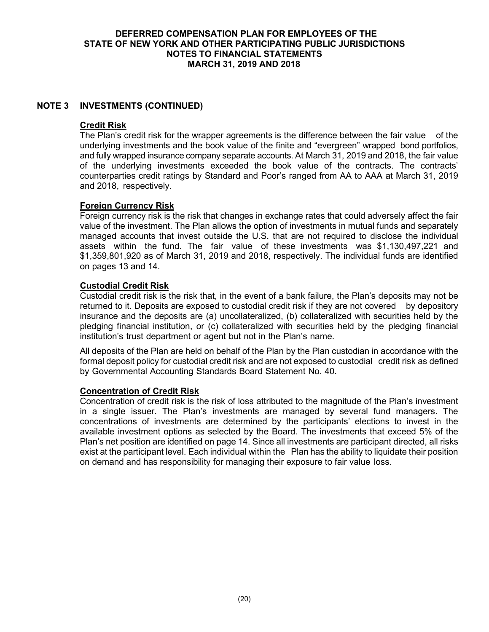## **NOTE 3 INVESTMENTS (CONTINUED)**

### **Credit Risk**

The Plan's credit risk for the wrapper agreements is the difference between the fair value of the underlying investments and the book value of the finite and "evergreen" wrapped bond portfolios, and fully wrapped insurance company separate accounts. At March 31, 2019 and 2018, the fair value of the underlying investments exceeded the book value of the contracts. The contracts' counterparties credit ratings by Standard and Poor's ranged from AA to AAA at March 31, 2019 and 2018, respectively.

## **Foreign Currency Risk**

Foreign currency risk is the risk that changes in exchange rates that could adversely affect the fair value of the investment. The Plan allows the option of investments in mutual funds and separately managed accounts that invest outside the U.S. that are not required to disclose the individual assets within the fund. The fair value of these investments was \$1,130,497,221 and \$1,359,801,920 as of March 31, 2019 and 2018, respectively. The individual funds are identified on pages 13 and 14.

### **Custodial Credit Risk**

Custodial credit risk is the risk that, in the event of a bank failure, the Plan's deposits may not be returned to it. Deposits are exposed to custodial credit risk if they are not covered by depository insurance and the deposits are (a) uncollateralized, (b) collateralized with securities held by the pledging financial institution, or (c) collateralized with securities held by the pledging financial institution's trust department or agent but not in the Plan's name.

All deposits of the Plan are held on behalf of the Plan by the Plan custodian in accordance with the formal deposit policy for custodial credit risk and are not exposed to custodial credit risk as defined by Governmental Accounting Standards Board Statement No. 40.

#### **Concentration of Credit Risk**

Concentration of credit risk is the risk of loss attributed to the magnitude of the Plan's investment in a single issuer. The Plan's investments are managed by several fund managers. The concentrations of investments are determined by the participants' elections to invest in the available investment options as selected by the Board. The investments that exceed 5% of the Plan's net position are identified on page 14. Since all investments are participant directed, all risks exist at the participant level. Each individual within the Plan has the ability to liquidate their position on demand and has responsibility for managing their exposure to fair value loss.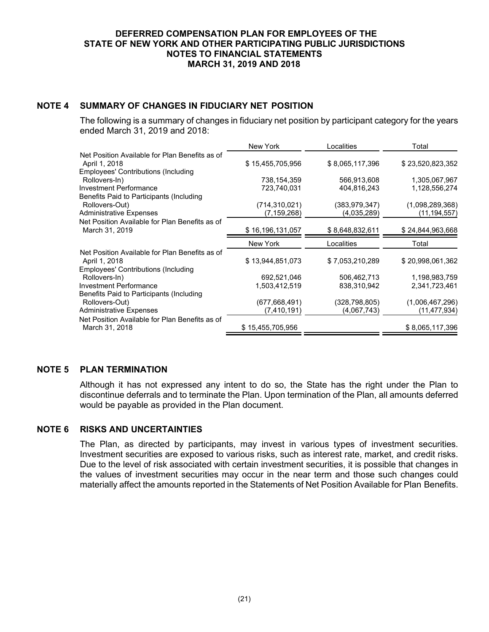# **NOTE 4 SUMMARY OF CHANGES IN FIDUCIARY NET POSITION**

The following is a summary of changes in fiduciary net position by participant category for the years ended March 31, 2019 and 2018:

|                                                             | New York         | Localities                 | Total                           |
|-------------------------------------------------------------|------------------|----------------------------|---------------------------------|
| Net Position Available for Plan Benefits as of              |                  |                            |                                 |
| April 1, 2018                                               | \$15,455,705,956 | \$8,065,117,396            | \$23,520,823,352                |
| <b>Employees' Contributions (Including</b>                  |                  |                            |                                 |
| Rollovers-In)                                               | 738,154,359      | 566,913,608                | 1,305,067,967                   |
| <b>Investment Performance</b>                               | 723,740,031      | 404,816,243                | 1,128,556,274                   |
| Benefits Paid to Participants (Including                    |                  |                            |                                 |
| Rollovers-Out)                                              | (714,310,021)    | (383,979,347)              | (1,098,289,368)                 |
| <b>Administrative Expenses</b>                              | (7,159,268)      | (4,035,289)                | (11, 194, 557)                  |
| Net Position Available for Plan Benefits as of              |                  |                            |                                 |
| March 31, 2019                                              | \$16,196,131,057 | \$8,648,832,611            | \$24,844,963,668                |
|                                                             |                  |                            |                                 |
|                                                             | New York         | Localities                 | Total                           |
| Net Position Available for Plan Benefits as of              |                  |                            |                                 |
| April 1, 2018                                               | \$13,944,851,073 | \$7,053,210,289            | \$20,998,061,362                |
|                                                             |                  |                            |                                 |
| <b>Employees' Contributions (Including</b><br>Rollovers-In) | 692,521,046      |                            | 1,198,983,759                   |
| <b>Investment Performance</b>                               | 1,503,412,519    | 506,462,713<br>838,310,942 | 2,341,723,461                   |
| Benefits Paid to Participants (Including                    |                  |                            |                                 |
| Rollovers-Out)                                              | (677, 668, 491)  | (328,798,805)              |                                 |
| <b>Administrative Expenses</b>                              | (7,410,191)      | (4,067,743)                | (1,006,467,296)<br>(11,477,934) |
| Net Position Available for Plan Benefits as of              |                  |                            |                                 |

## **NOTE 5 PLAN TERMINATION**

Although it has not expressed any intent to do so, the State has the right under the Plan to discontinue deferrals and to terminate the Plan. Upon termination of the Plan, all amounts deferred would be payable as provided in the Plan document.

## **NOTE 6 RISKS AND UNCERTAINTIES**

The Plan, as directed by participants, may invest in various types of investment securities. Investment securities are exposed to various risks, such as interest rate, market, and credit risks. Due to the level of risk associated with certain investment securities, it is possible that changes in the values of investment securities may occur in the near term and those such changes could materially affect the amounts reported in the Statements of Net Position Available for Plan Benefits.